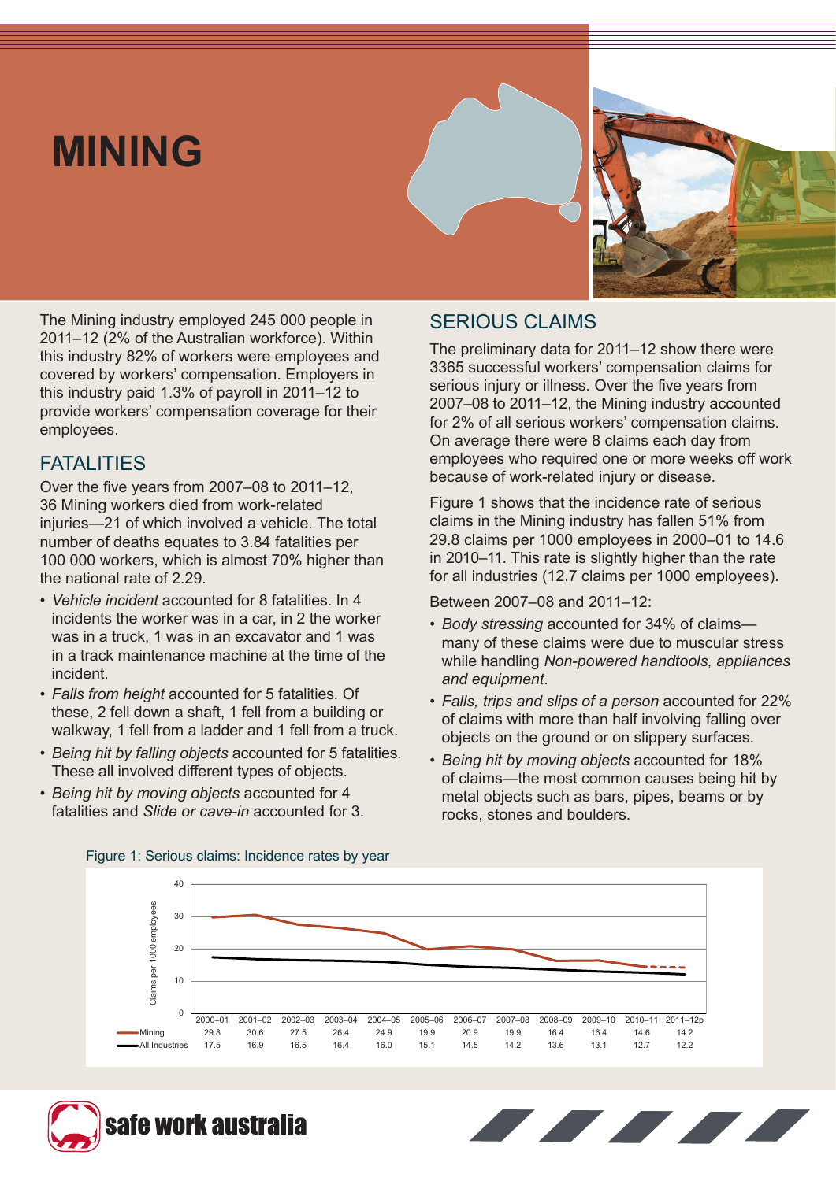# **MINING**



The Mining industry employed 245 000 people in 2011–12 (2% of the Australian workforce). Within this industry 82% of workers were employees and covered by workers' compensation. Employers in this industry paid 1.3% of payroll in 2011–12 to provide workers' compensation coverage for their employees.

### **FATALITIES**

Over the five years from 2007–08 to 2011–12, 36 Mining workers died from work-related injuries—21 of which involved a vehicle. The total number of deaths equates to 3.84 fatalities per 100 000 workers, which is almost 70% higher than the national rate of 2.29.

- *• Vehicle incident* accounted for 8 fatalities. In 4 incidents the worker was in a car, in 2 the worker was in a truck, 1 was in an excavator and 1 was in a track maintenance machine at the time of the incident.
- *Falls from height* accounted for 5 fatalities*.* Of these, 2 fell down a shaft, 1 fell from a building or walkway, 1 fell from a ladder and 1 fell from a truck.
- *• Being hit by falling objects* accounted for 5 fatalities*.* These all involved different types of objects.
- *Being hit by moving objects* accounted for 4 fatalities and *Slide or cave-in* accounted for 3.

# SERIOUS CLAIMS

The preliminary data for 2011–12 show there were 3365 successful workers' compensation claims for serious injury or illness. Over the five years from 2007–08 to 2011–12, the Mining industry accounted for 2% of all serious workers' compensation claims. On average there were 8 claims each day from employees who required one or more weeks off work because of work-related injury or disease.

Figure 1 shows that the incidence rate of serious claims in the Mining industry has fallen 51% from 29.8 claims per 1000 employees in 2000–01 to 14.6 in 2010–11. This rate is slightly higher than the rate for all industries (12.7 claims per 1000 employees).

Between 2007–08 and 2011–12:

- *Body stressing* accounted for 34% of claims many of these claims were due to muscular stress while handling *Non-powered handtools, appliances and equipment*.
- *Falls, trips and slips of a person* accounted for 22% of claims with more than half involving falling over objects on the ground or on slippery surfaces.
- *Being hit by moving objects* accounted for 18% of claims—the most common causes being hit by metal objects such as bars, pipes, beams or by rocks, stones and boulders.



Figure 1: Serious claims: Incidence rates by year